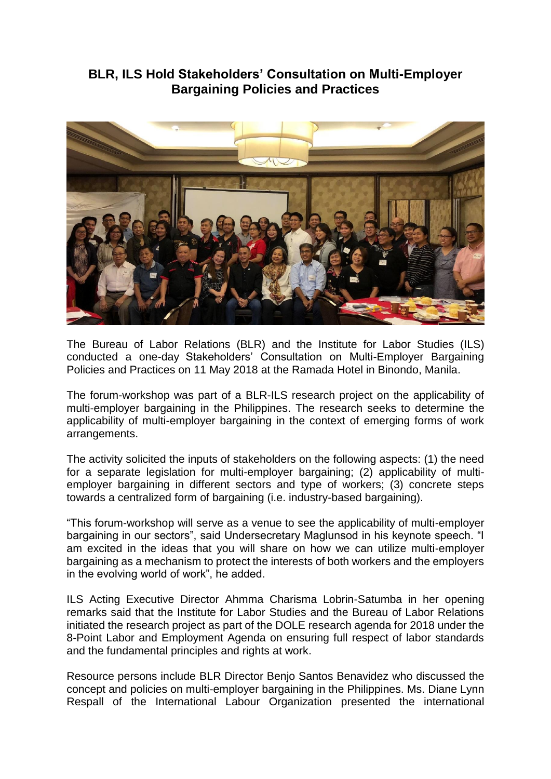## **BLR, ILS Hold Stakeholders' Consultation on Multi-Employer Bargaining Policies and Practices**



The Bureau of Labor Relations (BLR) and the Institute for Labor Studies (ILS) conducted a one-day Stakeholders' Consultation on Multi-Employer Bargaining Policies and Practices on 11 May 2018 at the Ramada Hotel in Binondo, Manila.

The forum-workshop was part of a BLR-ILS research project on the applicability of multi-employer bargaining in the Philippines. The research seeks to determine the applicability of multi-employer bargaining in the context of emerging forms of work arrangements.

The activity solicited the inputs of stakeholders on the following aspects: (1) the need for a separate legislation for multi-employer bargaining; (2) applicability of multiemployer bargaining in different sectors and type of workers; (3) concrete steps towards a centralized form of bargaining (i.e. industry-based bargaining).

"This forum-workshop will serve as a venue to see the applicability of multi-employer bargaining in our sectors", said Undersecretary Maglunsod in his keynote speech. "I am excited in the ideas that you will share on how we can utilize multi-employer bargaining as a mechanism to protect the interests of both workers and the employers in the evolving world of work", he added.

ILS Acting Executive Director Ahmma Charisma Lobrin-Satumba in her opening remarks said that the Institute for Labor Studies and the Bureau of Labor Relations initiated the research project as part of the DOLE research agenda for 2018 under the 8-Point Labor and Employment Agenda on ensuring full respect of labor standards and the fundamental principles and rights at work.

Resource persons include BLR Director Benjo Santos Benavidez who discussed the concept and policies on multi-employer bargaining in the Philippines. Ms. Diane Lynn Respall of the International Labour Organization presented the international